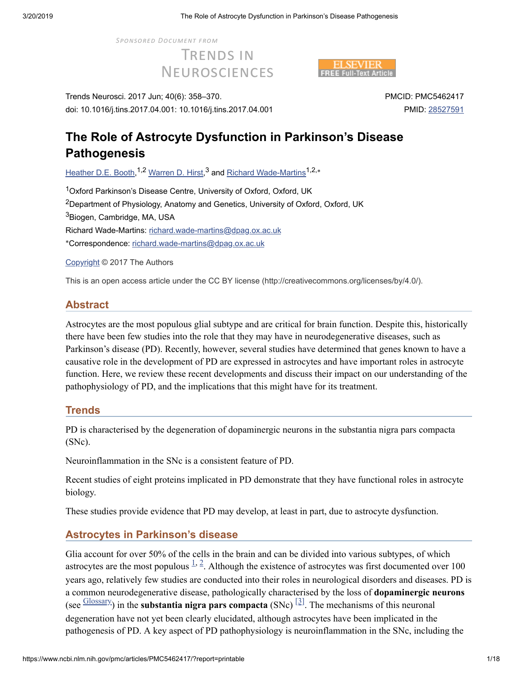**SPONSORED DOCUMENT FROM** 

**TRENDS IN NEUROSCIENCES** 



Trends Neurosci. 2017 Jun; 40(6): 358–370. doi: 10.1016/j.tins.2017.04.001: 10.1016/j.tins.2017.04.001 PMCID: PMC5462417 PMID: [28527591](https://www.ncbi.nlm.nih.gov/pubmed/28527591)

# **The Role of Astrocyte Dysfunction in Parkinson's Disease Pathogenesis**

[Heather](https://www.ncbi.nlm.nih.gov/pubmed/?term=Booth%20HD%5BAuthor%5D&cauthor=true&cauthor_uid=28527591) D.E. Booth,<sup>1,2</sup> [Warren](https://www.ncbi.nlm.nih.gov/pubmed/?term=Hirst%20WD%5BAuthor%5D&cauthor=true&cauthor_uid=28527591) D. Hirst,<sup>3</sup> and <u>Richard [Wade-Martins](https://www.ncbi.nlm.nih.gov/pubmed/?term=Wade-Martins%20R%5BAuthor%5D&cauthor=true&cauthor_uid=28527591)</u><sup>1,2,</sup>\*

<sup>1</sup>Oxford Parkinson's Disease Centre, University of Oxford, Oxford, UK  $2$ Department of Physiology, Anatomy and Genetics, University of Oxford, Oxford, UK <sup>3</sup>Biogen, Cambridge, MA, USA Richard Wade-Martins: [richard.wade-martins@dpag.ox.ac.uk](mailto:dev@null) \*Correspondence: [richard.wade-martins@dpag.ox.ac.uk](mailto:dev@null)

[Copyright](https://www.ncbi.nlm.nih.gov/pmc/about/copyright/) © 2017 The Authors

This is an open access article under the CC BY license (http://creativecommons.org/licenses/by/4.0/).

# **Abstract**

Astrocytes are the most populous glial subtype and are critical for brain function. Despite this, historically there have been few studies into the role that they may have in neurodegenerative diseases, such as Parkinson's disease (PD). Recently, however, several studies have determined that genes known to have a causative role in the development of PD are expressed in astrocytes and have important roles in astrocyte function. Here, we review these recent developments and discuss their impact on our understanding of the pathophysiology of PD, and the implications that this might have for its treatment.

# **Trends**

PD is characterised by the degeneration of dopaminergic neurons in the substantia nigra pars compacta (SNc).

Neuroinflammation in the SNc is a consistent feature of PD.

Recent studies of eight proteins implicated in PD demonstrate that they have functional roles in astrocyte biology.

These studies provide evidence that PD may develop, at least in part, due to astrocyte dysfunction.

# **Astrocytes in Parkinson's disease**

Glia account for over 50% of the cells in the brain and can be divided into various subtypes, of which astrocytes are the most populous  $\frac{1}{2}$  $\frac{1}{2}$  $\frac{1}{2}$ . Although the existence of astrocytes was first documented over 100 years ago, relatively few studies are conducted into their roles in neurological disorders and diseases. PD is a common neurodegenerative disease, pathologically characterised by the loss of **dopaminergic neurons**  $(\text{see } \frac{\text{Glossary}}{\text{Glossary}})$  $(\text{see } \frac{\text{Glossary}}{\text{Glossary}})$  $(\text{see } \frac{\text{Glossary}}{\text{Glossary}})$  in the **substantia nigra pars compacta**  $(\text{SNC})$  <sup>[\[3\]](#page-8-3)</sup>. The mechanisms of this neuronal degeneration have not yet been clearly elucidated, although astrocytes have been implicated in the pathogenesis of PD. A key aspect of PD pathophysiology is neuroinflammation in the SNc, including the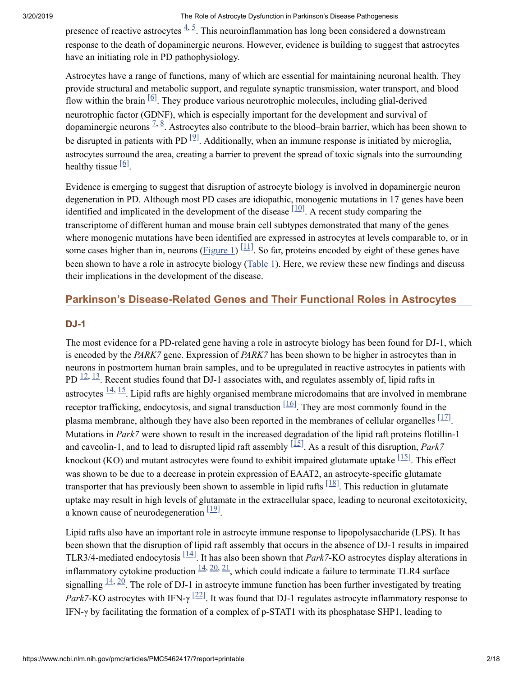presence of reactive astrocytes  $\frac{4,5}{ }$  $\frac{4,5}{ }$  $\frac{4,5}{ }$  $\frac{4,5}{ }$ . This neuroinflammation has long been considered a downstream response to the death of dopaminergic neurons. However, evidence is building to suggest that astrocytes have an initiating role in PD pathophysiology.

Astrocytes have a range of functions, many of which are essential for maintaining neuronal health. They provide structural and metabolic support, and regulate synaptic transmission, water transport, and blood flow within the brain  $[6]$ . They produce various neurotrophic molecules, including glial-derived neurotrophic factor (GDNF), which is especially important for the development and survival of dopaminergic neurons  $2, 8$  $2, 8$ . Astrocytes also contribute to the blood–brain barrier, which has been shown to be disrupted in patients with PD  $[2]$ . Additionally, when an immune response is initiated by microglia, astrocytes surround the area, creating a barrier to prevent the spread of toxic signals into the surrounding healthy tissue  $\left[6\right]$ .

Evidence is emerging to suggest that disruption of astrocyte biology is involved in dopaminergic neuron degeneration in PD. Although most PD cases are idiopathic, monogenic mutations in 17 genes have been identified and implicated in the development of the disease  $\left[10\right]$ . A recent study comparing the transcriptome of different human and mouse brain cell subtypes demonstrated that many of the genes where monogenic mutations have been identified are expressed in astrocytes at levels comparable to, or in some cases higher than in, neurons  $(Eigure 1)$ <sup>[\[11\]](#page-9-1)</sup>. So far, proteins encoded by eight of these genes have been shown to have a role in astrocyte biology ([Table](https://www.ncbi.nlm.nih.gov/pmc/articles/PMC5462417/table/tbl0005/) 1). Here, we review these new findings and discuss their implications in the development of the disease.

# **Parkinson's Disease-Related Genes and Their Functional Roles in Astrocytes**

#### **DJ-1**

The most evidence for a PD-related gene having a role in astrocyte biology has been found for DJ-1, which is encoded by the *PARK7* gene. Expression of *PARK7* has been shown to be higher in astrocytes than in neurons in postmortem human brain samples, and to be upregulated in reactive astrocytes in patients with PD  $\frac{12}{13}$  $\frac{12}{13}$  $\frac{12}{13}$  $\frac{12}{13}$  $\frac{12}{13}$ . Recent studies found that DJ-1 associates with, and regulates assembly of, lipid rafts in astrocytes  $\frac{14}{15}$  $\frac{14}{15}$  $\frac{14}{15}$  $\frac{14}{15}$  $\frac{14}{15}$ . Lipid rafts are highly organised membrane microdomains that are involved in membrane receptor trafficking, endocytosis, and signal transduction  $\frac{[16]}{]}$  $\frac{[16]}{]}$  $\frac{[16]}{]}$ . They are most commonly found in the plasma membrane, although they have also been reported in the membranes of cellular organelles  $[17]$ . Mutations in *Park7* were shown to result in the increased degradation of the lipid raft proteins flotillin-1 and caveolin-1, and to lead to disrupted lipid raft assembly  $\left[\frac{\overline{15}}{2}\right]$ . As a result of this disruption, *Park7* knockout (KO) and mutant astrocytes were found to exhibit impaired glutamate uptake  $\left[\frac{15}{15}\right]$ . This effect was shown to be due to a decrease in protein expression of EAAT2, an astrocyte-specific glutamate transporter that has previously been shown to assemble in lipid rafts  $[18]$ . This reduction in glutamate uptake may result in high levels of glutamate in the extracellular space, leading to neuronal excitotoxicity, a known cause of neurodegeneration  $\frac{[19]}{[19]}$  $\frac{[19]}{[19]}$  $\frac{[19]}{[19]}$ .

Lipid rafts also have an important role in astrocyte immune response to lipopolysaccharide (LPS). It has been shown that the disruption of lipid raft assembly that occurs in the absence of DJ-1 results in impaired TLR3/4-mediated endocytosis  $\left[14\right]$ . It has also been shown that *Park7*-KO astrocytes display alterations in inflammatory cytokine production  $\frac{14, 20, 21}{2}$  $\frac{14, 20, 21}{2}$  $\frac{14, 20, 21}{2}$  $\frac{14, 20, 21}{2}$  $\frac{14, 20, 21}{2}$  $\frac{14, 20, 21}{2}$  $\frac{14, 20, 21}{2}$ , which could indicate a failure to terminate TLR4 surface signalling  $\frac{14}{20}$  $\frac{14}{20}$  $\frac{14}{20}$  $\frac{14}{20}$  $\frac{14}{20}$ . The role of DJ-1 in astrocyte immune function has been further investigated by treating *Park7*-KO astrocytes with IFN- $\gamma$ <sup>[\[22\]](#page-9-12)</sup>. It was found that DJ-1 regulates astrocyte inflammatory response to IFN-γ by facilitating the formation of a complex of p-STAT1 with its phosphatase SHP1, leading to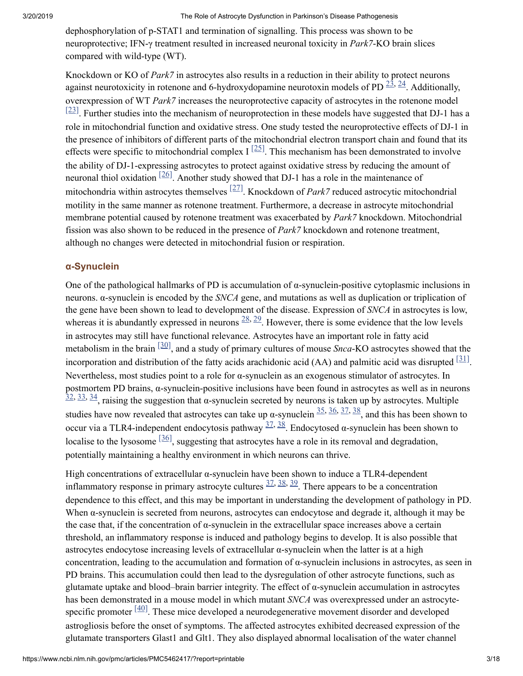dephosphorylation of p-STAT1 and termination of signalling. This process was shown to be neuroprotective; IFN-γ treatment resulted in increased neuronal toxicity in *Park7*-KO brain slices compared with wild-type (WT).

Knockdown or KO of *Park7* in astrocytes also results in a reduction in their ability to protect neurons against neurotoxicity in rotenone and 6-hydroxydopamine neurotoxin models of PD  $\frac{23}{7}$  $\frac{23}{7}$  $\frac{23}{7}$ , Additionally, overexpression of WT *Park7* increases the neuroprotective capacity of astrocytes in the rotenone model  $[23]$ . Further studies into the mechanism of neuroprotection in these models have suggested that DJ-1 has a role in mitochondrial function and oxidative stress. One study tested the neuroprotective effects of DJ-1 in the presence of inhibitors of different parts of the mitochondrial electron transport chain and found that its effects were specific to mitochondrial complex I  $^{[25]}$  $^{[25]}$  $^{[25]}$ . This mechanism has been demonstrated to involve the ability of DJ-1-expressing astrocytes to protect against oxidative stress by reducing the amount of neuronal thiol oxidation  $\left[\frac{26}{1}\right]$ . Another study showed that DJ-1 has a role in the maintenance of mitochondria within astrocytes themselves <sup>[\[27\]](#page-9-17)</sup>. Knockdown of *Park7* reduced astrocytic mitochondrial motility in the same manner as rotenone treatment. Furthermore, a decrease in astrocyte mitochondrial membrane potential caused by rotenone treatment was exacerbated by *Park7* knockdown. Mitochondrial fission was also shown to be reduced in the presence of *Park7* knockdown and rotenone treatment, although no changes were detected in mitochondrial fusion or respiration.

#### **α-Synuclein**

One of the pathological hallmarks of PD is accumulation of α-synuclein-positive cytoplasmic inclusions in neurons. α-synuclein is encoded by the *SNCA* gene, and mutations as well as duplication or triplication of the gene have been shown to lead to development of the disease. Expression of *SNCA* in astrocytes is low, whereas it is abundantly expressed in neurons  $\frac{28}{2}$  $\frac{28}{2}$  $\frac{28}{2}$ . However, there is some evidence that the low levels in astrocytes may still have functional relevance. Astrocytes have an important role in fatty acid metabolism in the brain  $\left[30\right]$ , and a study of primary cultures of mouse *Snca*-KO astrocytes showed that the incorporation and distribution of the fatty acids arachidonic acid  $(AA)$  and palmitic acid was disrupted  $[31]$ . Nevertheless, most studies point to a role for α-synuclein as an exogenous stimulator of astrocytes. In postmortem PD brains, α-synuclein-positive inclusions have been found in astrocytes as well as in neurons  $\frac{32}{32}$  $\frac{32}{32}$  $\frac{32}{32}$ ,  $\frac{33}{34}$  $\frac{33}{34}$  $\frac{33}{34}$  $\frac{33}{34}$  $\frac{33}{34}$ , raising the suggestion that  $\alpha$ -synuclein secreted by neurons is taken up by astrocytes. Multiple studies have now revealed that astrocytes can take up  $\alpha$ -synuclein  $\frac{35}{5}$  $\frac{35}{5}$  $\frac{35}{5}$ ,  $\frac{36}{5}$ ,  $\frac{37}{5}$  $\frac{37}{5}$  $\frac{37}{5}$ , and this has been shown to occur via a TLR4-independent endocytosis pathway  $\frac{37}{38}$  $\frac{37}{38}$  $\frac{37}{38}$  $\frac{37}{38}$  $\frac{37}{38}$ . Endocytosed α-synuclein has been shown to localise to the lysosome  $\left[\frac{36}{5}\right]$ , suggesting that astrocytes have a role in its removal and degradation, potentially maintaining a healthy environment in which neurons can thrive.

High concentrations of extracellular α-synuclein have been shown to induce a TLR4-dependent inflammatory response in primary astrocyte cultures  $\frac{37}{38}$ ,  $\frac{38}{39}$  $\frac{38}{39}$  $\frac{38}{39}$ . There appears to be a concentration dependence to this effect, and this may be important in understanding the development of pathology in PD. When α-synuclein is secreted from neurons, astrocytes can endocytose and degrade it, although it may be the case that, if the concentration of α-synuclein in the extracellular space increases above a certain threshold, an inflammatory response is induced and pathology begins to develop. It is also possible that astrocytes endocytose increasing levels of extracellular α-synuclein when the latter is at a high concentration, leading to the accumulation and formation of α-synuclein inclusions in astrocytes, as seen in PD brains. This accumulation could then lead to the dysregulation of other astrocyte functions, such as glutamate uptake and blood–brain barrier integrity. The effect of α-synuclein accumulation in astrocytes has been demonstrated in a mouse model in which mutant *SNCA* was overexpressed under an astrocytespecific promoter  $\left[\frac{40}{ } \right]$ . These mice developed a neurodegenerative movement disorder and developed astrogliosis before the onset of symptoms. The affected astrocytes exhibited decreased expression of the glutamate transporters Glast1 and Glt1. They also displayed abnormal localisation of the water channel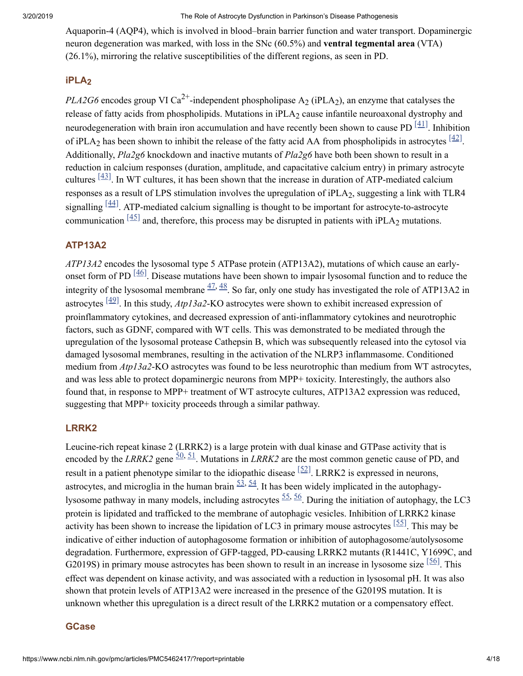Aquaporin-4 (AQP4), which is involved in blood–brain barrier function and water transport. Dopaminergic neuron degeneration was marked, with loss in the SNc (60.5%) and **ventral tegmental area** (VTA) (26.1%), mirroring the relative susceptibilities of the different regions, as seen in PD.

# **iPLA 2**

*PLA2G6* encodes group VI Ca<sup>2+</sup>-independent phospholipase  $A_2$  (iPLA<sub>2</sub>), an enzyme that catalyses the release of fatty acids from phospholipids. Mutations in  $iPLA_2$  cause infantile neuroaxonal dystrophy and neurodegeneration with brain iron accumulation and have recently been shown to cause PD  $[41]$ . Inhibition of iPLA<sub>2</sub> has been shown to inhibit the release of the fatty acid AA from phospholipids in astrocytes  $\frac{[42]}{[42]}$  $\frac{[42]}{[42]}$  $\frac{[42]}{[42]}$ . Additionally, *Pla2g6* knockdown and inactive mutants of *Pla2g6* have both been shown to result in a reduction in calcium responses (duration, amplitude, and capacitative calcium entry) in primary astrocyte cultures  $\frac{[43]}{]}$  $\frac{[43]}{]}$  $\frac{[43]}{]}$ . In WT cultures, it has been shown that the increase in duration of ATP-mediated calcium responses as a result of LPS stimulation involves the upregulation of iPLA2, suggesting a link with TLR4 signalling  $[44]$ . ATP-mediated calcium signalling is thought to be important for astrocyte-to-astrocyte communication  $\left[\frac{45}{12}\right]$  and, therefore, this process may be disrupted in patients with iPLA<sub>2</sub> mutations.

# **ATP13A2**

*ATP13A2* encodes the lysosomal type 5 ATPase protein (ATP13A2), mutations of which cause an earlyonset form of PD  $\left[\frac{46}{ } \right]$ . Disease mutations have been shown to impair lysosomal function and to reduce the integrity of the lysosomal membrane  $\frac{47}{3}$  $\frac{47}{3}$  $\frac{47}{3}$ . So far, only one study has investigated the role of ATP13A2 in astrocytes  $\frac{[49]}{]}$  $\frac{[49]}{]}$  $\frac{[49]}{]}$ . In this study, *Atp13a2*-KO astrocytes were shown to exhibit increased expression of proinflammatory cytokines, and decreased expression of anti-inflammatory cytokines and neurotrophic factors, such as GDNF, compared with WT cells. This was demonstrated to be mediated through the upregulation of the lysosomal protease Cathepsin B, which was subsequently released into the cytosol via damaged lysosomal membranes, resulting in the activation of the NLRP3 inflammasome. Conditioned medium from *Atp13a2*-KO astrocytes was found to be less neurotrophic than medium from WT astrocytes, and was less able to protect dopaminergic neurons from MPP+ toxicity. Interestingly, the authors also found that, in response to MPP+ treatment of WT astrocyte cultures, ATP13A2 expression was reduced, suggesting that MPP+ toxicity proceeds through a similar pathway.

### **LRRK2**

Leucine-rich repeat kinase 2 (LRRK2) is a large protein with dual kinase and GTPase activity that is encoded by the *LRRK2* gene  $\frac{50}{,}$  $\frac{50}{,}$  $\frac{50}{,}$   $\frac{51}{,}$  $\frac{51}{,}$  $\frac{51}{,}$  Mutations in *LRRK2* are the most common genetic cause of PD, and result in a patient phenotype similar to the idiopathic disease  $[52]$ . LRRK2 is expressed in neurons, astrocytes, and microglia in the human brain  $\frac{53}{54}$  $\frac{53}{54}$  $\frac{53}{54}$  $\frac{53}{54}$  $\frac{53}{54}$ . It has been widely implicated in the autophagylysosome pathway in many models, including astrocytes  $\frac{55}{5}$  $\frac{55}{5}$  $\frac{55}{5}$ . During the initiation of autophagy, the LC3 protein is lipidated and trafficked to the membrane of autophagic vesicles. Inhibition of LRRK2 kinase activity has been shown to increase the lipidation of LC3 in primary mouse astrocytes  $[55]$ . This may be indicative of either induction of autophagosome formation or inhibition of autophagosome/autolysosome degradation. Furthermore, expression of GFP-tagged, PD-causing LRRK2 mutants (R1441C, Y1699C, and G2019S) in primary mouse astrocytes has been shown to result in an increase in lysosome size  $\frac{[56]}{]}$  $\frac{[56]}{]}$  $\frac{[56]}{]}$ . This effect was dependent on kinase activity, and was associated with a reduction in lysosomal pH. It was also shown that protein levels of ATP13A2 were increased in the presence of the G2019S mutation. It is unknown whether this upregulation is a direct result of the LRRK2 mutation or a compensatory effect.

#### **GCase**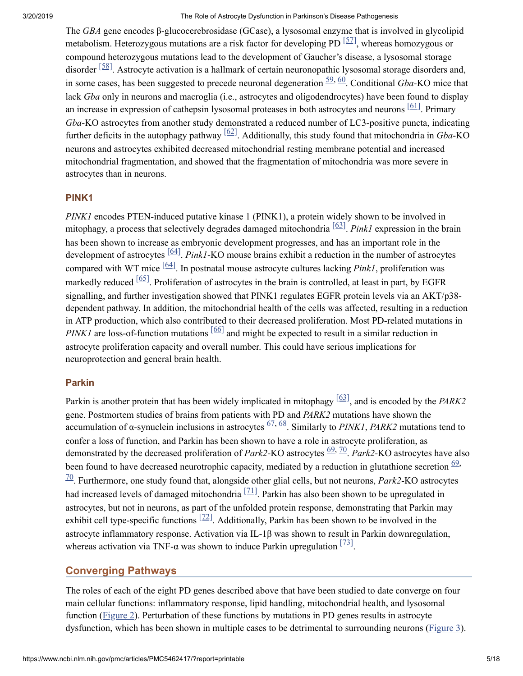The *GBA* gene encodes β-glucocerebrosidase (GCase), a lysosomal enzyme that is involved in glycolipid metabolism. Heterozygous mutations are a risk factor for developing PD  $[57]$ , whereas homozygous or compound heterozygous mutations lead to the development of Gaucher's disease, a lysosomal storage disorder  $\frac{58}{8}$ . Astrocyte activation is a hallmark of certain neuronopathic lysosomal storage disorders and, in some cases, has been suggested to precede neuronal degeneration  $\frac{59}{,}$  $\frac{59}{,}$  $\frac{59}{,}$  [60](#page-11-14). Conditional *Gba*-KO mice that lack *Gba* only in neurons and macroglia (i.e., astrocytes and oligodendrocytes) have been found to display an increase in expression of cathepsin lysosomal proteases in both astrocytes and neurons  $[61]$ . Primary *Gba*-KO astrocytes from another study demonstrated a reduced number of LC3-positive puncta, indicating further deficits in the autophagy pathway  $[62]$ . Additionally, this study found that mitochondria in *Gba*-KO neurons and astrocytes exhibited decreased mitochondrial resting membrane potential and increased mitochondrial fragmentation, and showed that the fragmentation of mitochondria was more severe in astrocytes than in neurons.

#### **PINK1**

*PINK1* encodes PTEN-induced putative kinase 1 (PINK1), a protein widely shown to be involved in mitophagy, a process that selectively degrades damaged mitochondria  $\frac{63}{1}$ . *Pink1* expression in the brain has been shown to increase as embryonic development progresses, and has an important role in the development of astrocytes  $\frac{[64]}{]}$  $\frac{[64]}{]}$  $\frac{[64]}{]}$ . Pink1-KO mouse brains exhibit a reduction in the number of astrocytes compared with WT mice  $\frac{[64]}{]}$  $\frac{[64]}{]}$  $\frac{[64]}{]}$ . In postnatal mouse astrocyte cultures lacking *Pink1*, proliferation was markedly reduced  $\frac{[65]}{]}$  $\frac{[65]}{]}$  $\frac{[65]}{]}$ . Proliferation of astrocytes in the brain is controlled, at least in part, by EGFR signalling, and further investigation showed that PINK1 regulates EGFR protein levels via an AKT/p38 dependent pathway. In addition, the mitochondrial health of the cells was affected, resulting in a reduction in ATP production, which also contributed to their decreased proliferation. Most PD-related mutations in  $PINKI$  are loss-of-function mutations  $[66]$  and might be expected to result in a similar reduction in astrocyte proliferation capacity and overall number. This could have serious implications for neuroprotection and general brain health.

### **Parkin**

Parkin is another protein that has been widely implicated in mitophagy  $\frac{[63]}{]}$  $\frac{[63]}{]}$  $\frac{[63]}{]}$ , and is encoded by the *PARK2* gene. Postmortem studies of brains from patients with PD and *PARK2* mutations have shown the accumulation of  $\alpha$ -synuclein inclusions in astrocytes  $\frac{67}{68}$  $\frac{67}{68}$  $\frac{67}{68}$ . Similarly to *PINK1*, *PARK2* mutations tend to confer a loss of function, and Parkin has been shown to have a role in astrocyte proliferation, as demonstrated by the decreased proliferation of *Park2*-KO astrocytes  $\frac{69}{20}$ . *Park2*-KO astrocytes have also been found to have decreased neurotrophic capacity, mediated by a reduction in glutathione secretion  $\frac{69}{27}$ . Furthermore, one study found that, alongside other glial cells, but not neurons, *Park2*-KO astrocytes [70](#page-12-6) had increased levels of damaged mitochondria  $\left[71\right]$ . Parkin has also been shown to be upregulated in astrocytes, but not in neurons, as part of the unfolded protein response, demonstrating that Parkin may exhibit cell type-specific functions  $[72]$ . Additionally, Parkin has been shown to be involved in the astrocyte inflammatory response. Activation via IL-1β was shown to result in Parkin downregulation, whereas activation via TNF- $\alpha$  was shown to induce Parkin upregulation  $\left[\frac{73}{12}\right]$ .

# **Converging Pathways**

The roles of each of the eight PD genes described above that have been studied to date converge on four main cellular functions: inflammatory response, lipid handling, mitochondrial health, and lysosomal function [\(Figure](https://www.ncbi.nlm.nih.gov/pmc/articles/PMC5462417/figure/fig0010/) 2). Perturbation of these functions by mutations in PD genes results in astrocyte dysfunction, which has been shown in multiple cases to be detrimental to surrounding neurons [\(Figure](https://www.ncbi.nlm.nih.gov/pmc/articles/PMC5462417/figure/fig0015/) 3).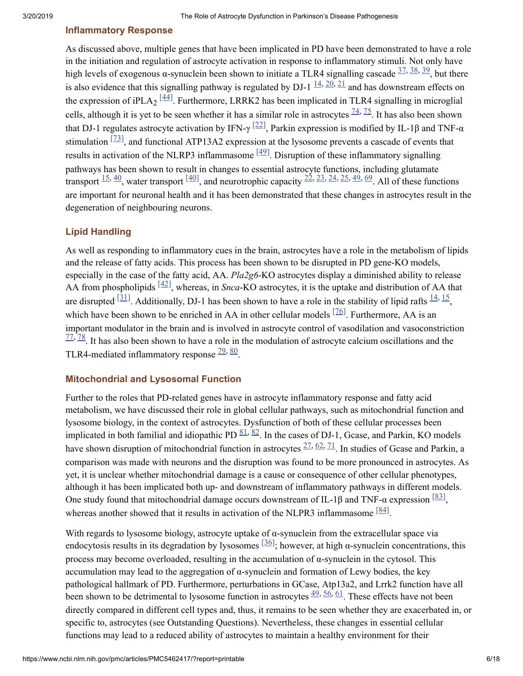# **Inflammatory Response**

As discussed above, multiple genes that have been implicated in PD have been demonstrated to have a role in the initiation and regulation of astrocyte activation in response to inflammatory stimuli. Not only have high levels of exogenous  $\alpha$ -synuclein been shown to initiate a TLR4 signalling cascade  $\frac{37}{38}$ ,  $\frac{38}{39}$  $\frac{38}{39}$  $\frac{38}{39}$ , but there is also evidence that this signalling pathway is regulated by DJ-1  $\frac{14}{20}$  $\frac{14}{20}$  $\frac{14}{20}$ ,  $\frac{21}{21}$  $\frac{21}{21}$  $\frac{21}{21}$  and has downstream effects on the expression of iPLA<sub>2</sub>  $\frac{[44]}{]}$  $\frac{[44]}{]}$  $\frac{[44]}{]}$ . Furthermore, LRRK2 has been implicated in TLR4 signalling in microglial cells, although it is yet to be seen whether it has a similar role in astrocytes  $\frac{74}{5}$ . It has also been shown that DJ-1 regulates astrocyte activation by IFN-γ  $[22]$ , Parkin expression is modified by IL-1β and TNF-α stimulation  $\left[\frac{73}{12}\right]$ , and functional ATP13A2 expression at the lysosome prevents a cascade of events that results in activation of the NLRP3 inflammasome  $\frac{[49]}{]}$  $\frac{[49]}{]}$  $\frac{[49]}{]}$ . Disruption of these inflammatory signalling pathways has been shown to result in changes to essential astrocyte functions, including glutamate transport  $\frac{15}{40}$  $\frac{15}{40}$  $\frac{15}{40}$  $\frac{15}{40}$  $\frac{15}{40}$ , water transport  $\frac{[40]}{2}$  $\frac{[40]}{2}$  $\frac{[40]}{2}$ , and neurotrophic capacity  $\frac{22}{2}$  $\frac{22}{2}$  $\frac{22}{2}$ ,  $\frac{23}{4}$  $\frac{23}{4}$  $\frac{23}{4}$ ,  $\frac{24}{5}$  $\frac{24}{5}$  $\frac{24}{5}$ ,  $\frac{49}{49}$  $\frac{49}{49}$  $\frac{49}{49}$ ,  $\frac{69}{411}$  $\frac{69}{411}$  $\frac{69}{411}$  of these functions are important for neuronal health and it has been demonstrated that these changes in astrocytes result in the degeneration of neighbouring neurons.

### **Lipid Handling**

As well as responding to inflammatory cues in the brain, astrocytes have a role in the metabolism of lipids and the release of fatty acids. This process has been shown to be disrupted in PD gene-KO models, especially in the case of the fatty acid, AA. *Pla2g6*-KO astrocytes display a diminished ability to release AA from phospholipids  $\left[\frac{42}{7}\right]$ , whereas, in *Snca-KO* astrocytes, it is the uptake and distribution of AA that are disrupted  $\left[\frac{31}{11}\right]$ . Additionally, DJ-1 has been shown to have a role in the stability of lipid rafts  $\frac{14}{15}$  $\frac{14}{15}$  $\frac{14}{15}$ , which have been shown to be enriched in AA in other cellular models  $[76]$ . Furthermore, AA is an important modulator in the brain and is involved in astrocyte control of vasodilation and vasoconstriction  $\frac{77}{20}$  $\frac{77}{20}$  $\frac{77}{20}$ . It has also been shown to have a role in the modulation of astrocyte calcium oscillations and the TLR4-mediated inflammatory response  $\frac{79,80}{.}$  $\frac{79,80}{.}$  $\frac{79,80}{.}$  $\frac{79,80}{.}$  $\frac{79,80}{.}$ .

#### **Mitochondrial and Lysosomal Function**

Further to the roles that PD-related genes have in astrocyte inflammatory response and fatty acid metabolism, we have discussed their role in global cellular pathways, such as mitochondrial function and lysosome biology, in the context of astrocytes. Dysfunction of both of these cellular processes been implicated in both familial and idiopathic PD  $\frac{81}{2}$ . In the cases of DJ-1, Gcase, and Parkin, KO models have shown disruption of mitochondrial function in astrocytes  $\frac{27}{62}$ ,  $\frac{62}{71}$  $\frac{62}{71}$  $\frac{62}{71}$ . In studies of Gcase and Parkin, a comparison was made with neurons and the disruption was found to be more pronounced in astrocytes. As yet, it is unclear whether mitochondrial damage is a cause or consequence of other cellular phenotypes, although it has been implicated both up- and downstream of inflammatory pathways in different models. One study found that mitochondrial damage occurs downstream of IL-1β and TNF-α expression  $\frac{83}{3}$ , whereas another showed that it results in activation of the NLPR3 inflammasome  $[84]$ .

With regards to lysosome biology, astrocyte uptake of  $\alpha$ -synuclein from the extracellular space via endocytosis results in its degradation by lysosomes  $[36]$ ; however, at high  $\alpha$ -synuclein concentrations, this process may become overloaded, resulting in the accumulation of α-synuclein in the cytosol. This accumulation may lead to the aggregation of α-synuclein and formation of Lewy bodies, the key pathological hallmark of PD. Furthermore, perturbations in GCase, Atp13a2, and Lrrk2 function have all been shown to be detrimental to lysosome function in astrocytes  $\frac{49}{56}$ ,  $\frac{61}{56}$  $\frac{61}{56}$  $\frac{61}{56}$ . These effects have not been directly compared in different cell types and, thus, it remains to be seen whether they are exacerbated in, or specific to, astrocytes (see Outstanding Questions). Nevertheless, these changes in essential cellular functions may lead to a reduced ability of astrocytes to maintain a healthy environment for their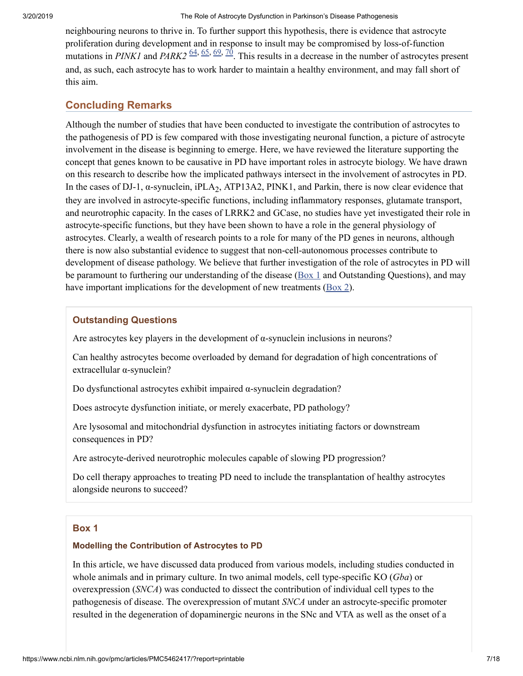neighbouring neurons to thrive in. To further support this hypothesis, there is evidence that astrocyte proliferation during development and in response to insult may be compromised by loss-of-function mutations in *PINK1* and *PARK2*  $\frac{64}{,}$   $\frac{65}{,}$  $\frac{65}{,}$  $\frac{65}{,}$   $\frac{69}{,}$  $\frac{69}{,}$  $\frac{69}{,}$   $\frac{70}{,}$  $\frac{70}{,}$  $\frac{70}{,}$ . This results in a decrease in the number of astrocytes present and, as such, each astrocyte has to work harder to maintain a healthy environment, and may fall short of this aim.

# **Concluding Remarks**

Although the number of studies that have been conducted to investigate the contribution of astrocytes to the pathogenesis of PD is few compared with those investigating neuronal function, a picture of astrocyte involvement in the disease is beginning to emerge. Here, we have reviewed the literature supporting the concept that genes known to be causative in PD have important roles in astrocyte biology. We have drawn on this research to describe how the implicated pathways intersect in the involvement of astrocytes in PD. In the cases of DJ-1,  $\alpha$ -synuclein, iPLA<sub>2</sub>, ATP13A2, PINK1, and Parkin, there is now clear evidence that they are involved in astrocyte-specific functions, including inflammatory responses, glutamate transport, and neurotrophic capacity. In the cases of LRRK2 and GCase, no studies have yet investigated their role in astrocyte-specific functions, but they have been shown to have a role in the general physiology of astrocytes. Clearly, a wealth of research points to a role for many of the PD genes in neurons, although there is now also substantial evidence to suggest that non-cell-autonomous processes contribute to development of disease pathology. We believe that further investigation of the role of astrocytes in PD will be paramount to furthering our understanding of the disease  $(Box 1)$  $(Box 1)$  $(Box 1)$  and Outstanding Questions), and may have important implications for the development of new treatments ( $\frac{Box 2}{.}$  $\frac{Box 2}{.}$  $\frac{Box 2}{.}$ ).

# **Outstanding Questions**

Are astrocytes key players in the development of α-synuclein inclusions in neurons?

Can healthy astrocytes become overloaded by demand for degradation of high concentrations of extracellular α-synuclein?

Do dysfunctional astrocytes exhibit impaired α-synuclein degradation?

Does astrocyte dysfunction initiate, or merely exacerbate, PD pathology?

Are lysosomal and mitochondrial dysfunction in astrocytes initiating factors or downstream consequences in PD?

Are astrocyte-derived neurotrophic molecules capable of slowing PD progression?

Do cell therapy approaches to treating PD need to include the transplantation of healthy astrocytes alongside neurons to succeed?

### <span id="page-6-0"></span>**Box 1**

#### **Modelling the Contribution of Astrocytes to PD**

In this article, we have discussed data produced from various models, including studies conducted in whole animals and in primary culture. In two animal models, cell type-specific KO (*Gba*) or overexpression (*SNCA*) was conducted to dissect the contribution of individual cell types to the pathogenesis of disease. The overexpression of mutant *SNCA* under an astrocyte-specific promoter resulted in the degeneration of dopaminergic neurons in the SNc and VTA as well as the onset of a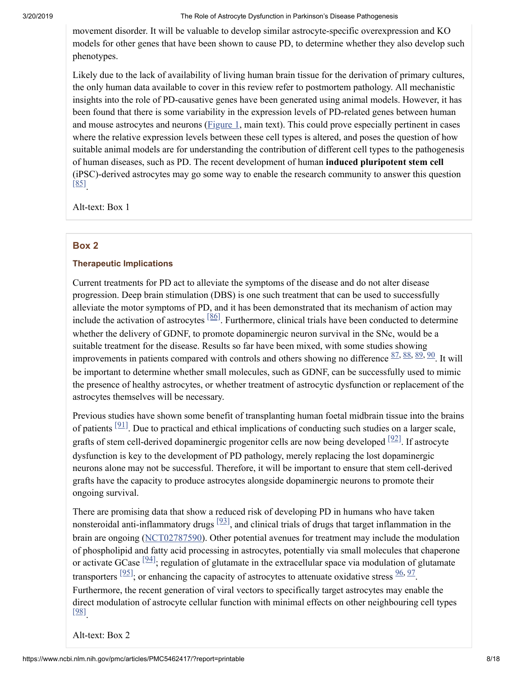movement disorder. It will be valuable to develop similar astrocyte-specific overexpression and KO models for other genes that have been shown to cause PD, to determine whether they also develop such phenotypes.

Likely due to the lack of availability of living human brain tissue for the derivation of primary cultures, the only human data available to cover in this review refer to postmortem pathology. All mechanistic insights into the role of PD-causative genes have been generated using animal models. However, it has been found that there is some variability in the expression levels of PD-related genes between human and mouse astrocytes and neurons [\(Figure](https://www.ncbi.nlm.nih.gov/pmc/articles/PMC5462417/figure/fig0005/) 1, main text). This could prove especially pertinent in cases where the relative expression levels between these cell types is altered, and poses the question of how suitable animal models are for understanding the contribution of different cell types to the pathogenesis of human diseases, such as PD. The recent development of human **induced pluripotent stem cell** (iPSC)-derived astrocytes may go some way to enable the research community to answer this question  $\left[\frac{85}{ } \right]$ 

Alt-text: Box 1

#### <span id="page-7-0"></span>**Box 2**

#### **Therapeutic Implications**

Current treatments for PD act to alleviate the symptoms of the disease and do not alter disease progression. Deep brain stimulation (DBS) is one such treatment that can be used to successfully alleviate the motor symptoms of PD, and it has been demonstrated that its mechanism of action may include the activation of astrocytes  $\frac{86}{1}$ . Furthermore, clinical trials have been conducted to determine whether the delivery of GDNF, to promote dopaminergic neuron survival in the SNc, would be a suitable treatment for the disease. Results so far have been mixed, with some studies showing improvements in patients compared with controls and others showing no difference  $\frac{87}{5}, \frac{88}{5}, \frac{89}{5}, \frac{90}{5}$  $\frac{87}{5}, \frac{88}{5}, \frac{89}{5}, \frac{90}{5}$  $\frac{87}{5}, \frac{88}{5}, \frac{89}{5}, \frac{90}{5}$  $\frac{87}{5}, \frac{88}{5}, \frac{89}{5}, \frac{90}{5}$  $\frac{87}{5}, \frac{88}{5}, \frac{89}{5}, \frac{90}{5}$  $\frac{87}{5}, \frac{88}{5}, \frac{89}{5}, \frac{90}{5}$  $\frac{87}{5}, \frac{88}{5}, \frac{89}{5}, \frac{90}{5}$  $\frac{87}{5}, \frac{88}{5}, \frac{89}{5}, \frac{90}{5}$  $\frac{87}{5}, \frac{88}{5}, \frac{89}{5}, \frac{90}{5}$ . It will be important to determine whether small molecules, such as GDNF, can be successfully used to mimic the presence of healthy astrocytes, or whether treatment of astrocytic dysfunction or replacement of the astrocytes themselves will be necessary.

Previous studies have shown some benefit of transplanting human foetal midbrain tissue into the brains of patients  $[91]$ . Due to practical and ethical implications of conducting such studies on a larger scale, grafts of stem cell-derived dopaminergic progenitor cells are now being developed  $[92]$ . If astrocyte dysfunction is key to the development of PD pathology, merely replacing the lost dopaminergic neurons alone may not be successful. Therefore, it will be important to ensure that stem cell-derived grafts have the capacity to produce astrocytes alongside dopaminergic neurons to promote their ongoing survival.

There are promising data that show a reduced risk of developing PD in humans who have taken nonsteroidal anti-inflammatory drugs  $[93]$ , and clinical trials of drugs that target inflammation in the brain are ongoing ([NCT02787590](https://clinicaltrials.gov/ct2/show/NCT02787590)). Other potential avenues for treatment may include the modulation of phospholipid and fatty acid processing in astrocytes, potentially via small molecules that chaperone or activate GCase  $[94]$ ; regulation of glutamate in the extracellular space via modulation of glutamate transporters  $[95]$ , or enhancing the capacity of astrocytes to attenuate oxidative stress  $\frac{96}{5}$  $\frac{96}{5}$  $\frac{96}{5}$ ,  $\frac{97}{5}$  $\frac{97}{5}$  $\frac{97}{5}$ . Furthermore, the recent generation of viral vectors to specifically target astrocytes may enable the direct modulation of astrocyte cellular function with minimal effects on other neighbouring cell types . [\[98\]](#page-13-16)

Alt-text: Box 2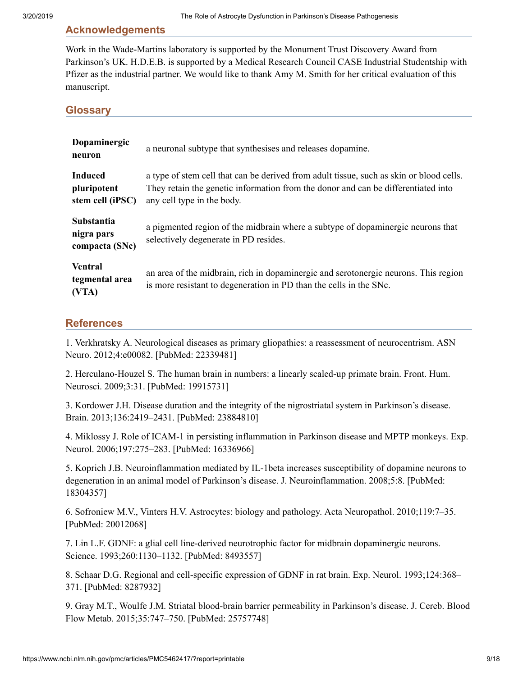#### **Acknowledgements**

Work in the Wade-Martins laboratory is supported by the Monument Trust Discovery Award from Parkinson's UK. H.D.E.B. is supported by a Medical Research Council CASE Industrial Studentship with Pfizer as the industrial partner. We would like to thank Amy M. Smith for her critical evaluation of this manuscript.

<span id="page-8-2"></span>**Glossary**

| Dopaminergic<br>neuron                            | a neuronal subtype that synthesises and releases dopamine.                                                                                                                                                 |  |
|---------------------------------------------------|------------------------------------------------------------------------------------------------------------------------------------------------------------------------------------------------------------|--|
| <b>Induced</b><br>pluripotent<br>stem cell (iPSC) | a type of stem cell that can be derived from adult tissue, such as skin or blood cells.<br>They retain the genetic information from the donor and can be differentiated into<br>any cell type in the body. |  |
| Substantia<br>nigra pars<br>compacta (SNc)        | a pigmented region of the midbrain where a subtype of dopaminergic neurons that<br>selectively degenerate in PD resides.                                                                                   |  |
| <b>Ventral</b><br>tegmental area<br>(VTA)         | an area of the midbrain, rich in dopaminergic and serotonergic neurons. This region<br>is more resistant to degeneration in PD than the cells in the SNc.                                                  |  |

#### **References**

<span id="page-8-0"></span>1. Verkhratsky A. Neurological diseases as primary gliopathies: a reassessment of neurocentrism. ASN Neuro. 2012;4:e00082. [PubMed: 22339481]

<span id="page-8-1"></span>2. Herculano-Houzel S. The human brain in numbers: a linearly scaled-up primate brain. Front. Hum. Neurosci. 2009;3:31. [PubMed: 19915731]

<span id="page-8-3"></span>3. Kordower J.H. Disease duration and the integrity of the nigrostriatal system in Parkinson's disease. Brain. 2013;136:2419–2431. [PubMed: 23884810]

<span id="page-8-4"></span>4. Miklossy J. Role of ICAM-1 in persisting inflammation in Parkinson disease and MPTP monkeys. Exp. Neurol. 2006;197:275–283. [PubMed: 16336966]

<span id="page-8-5"></span>5. Koprich J.B. Neuroinflammation mediated by IL-1beta increases susceptibility of dopamine neurons to degeneration in an animal model of Parkinson's disease. J. Neuroinflammation. 2008;5:8. [PubMed: 18304357]

<span id="page-8-6"></span>6. Sofroniew M.V., Vinters H.V. Astrocytes: biology and pathology. Acta Neuropathol. 2010;119:7–35. [PubMed: 20012068]

<span id="page-8-7"></span>7. Lin L.F. GDNF: a glial cell line-derived neurotrophic factor for midbrain dopaminergic neurons. Science. 1993;260:1130–1132. [PubMed: 8493557]

<span id="page-8-8"></span>8. Schaar D.G. Regional and cell-specific expression of GDNF in rat brain. Exp. Neurol. 1993;124:368– 371. [PubMed: 8287932]

<span id="page-8-9"></span>9. Gray M.T., Woulfe J.M. Striatal blood-brain barrier permeability in Parkinson's disease. J. Cereb. Blood Flow Metab. 2015;35:747–750. [PubMed: 25757748]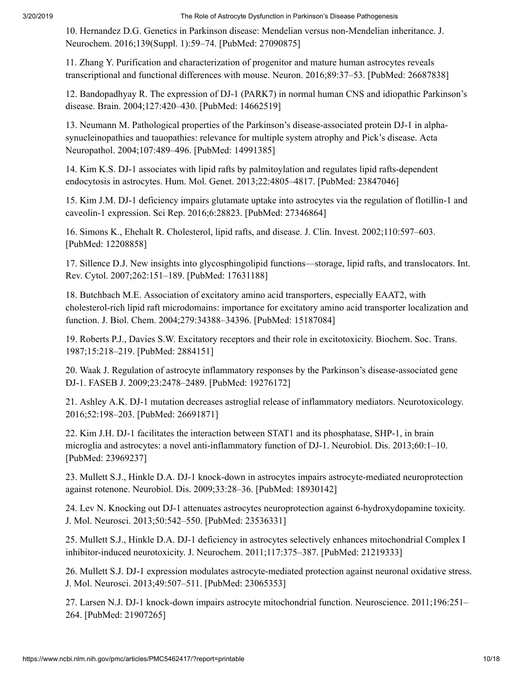<span id="page-9-0"></span>10. Hernandez D.G. Genetics in Parkinson disease: Mendelian versus non-Mendelian inheritance. J. Neurochem. 2016;139(Suppl. 1):59–74. [PubMed: 27090875]

<span id="page-9-1"></span>11. Zhang Y. Purification and characterization of progenitor and mature human astrocytes reveals transcriptional and functional differences with mouse. Neuron. 2016;89:37–53. [PubMed: 26687838]

<span id="page-9-2"></span>12. Bandopadhyay R. The expression of DJ-1 (PARK7) in normal human CNS and idiopathic Parkinson's disease. Brain. 2004;127:420–430. [PubMed: 14662519]

<span id="page-9-3"></span>13. Neumann M. Pathological properties of the Parkinson's disease-associated protein DJ-1 in alphasynucleinopathies and tauopathies: relevance for multiple system atrophy and Pick's disease. Acta Neuropathol. 2004;107:489–496. [PubMed: 14991385]

<span id="page-9-4"></span>14. Kim K.S. DJ-1 associates with lipid rafts by palmitoylation and regulates lipid rafts-dependent endocytosis in astrocytes. Hum. Mol. Genet. 2013;22:4805–4817. [PubMed: 23847046]

<span id="page-9-5"></span>15. Kim J.M. DJ-1 deficiency impairs glutamate uptake into astrocytes via the regulation of flotillin-1 and caveolin-1 expression. Sci Rep. 2016;6:28823. [PubMed: 27346864]

<span id="page-9-6"></span>16. Simons K., Ehehalt R. Cholesterol, lipid rafts, and disease. J. Clin. Invest. 2002;110:597–603. [PubMed: 12208858]

<span id="page-9-7"></span>17. Sillence D.J. New insights into glycosphingolipid functions—storage, lipid rafts, and translocators. Int. Rev. Cytol. 2007;262:151–189. [PubMed: 17631188]

<span id="page-9-8"></span>18. Butchbach M.E. Association of excitatory amino acid transporters, especially EAAT2, with cholesterol-rich lipid raft microdomains: importance for excitatory amino acid transporter localization and function. J. Biol. Chem. 2004;279:34388–34396. [PubMed: 15187084]

<span id="page-9-9"></span>19. Roberts P.J., Davies S.W. Excitatory receptors and their role in excitotoxicity. Biochem. Soc. Trans. 1987;15:218–219. [PubMed: 2884151]

<span id="page-9-10"></span>20. Waak J. Regulation of astrocyte inflammatory responses by the Parkinson's disease-associated gene DJ-1. FASEB J. 2009;23:2478–2489. [PubMed: 19276172]

<span id="page-9-11"></span>21. Ashley A.K. DJ-1 mutation decreases astroglial release of inflammatory mediators. Neurotoxicology. 2016;52:198–203. [PubMed: 26691871]

<span id="page-9-12"></span>22. Kim J.H. DJ-1 facilitates the interaction between STAT1 and its phosphatase, SHP-1, in brain microglia and astrocytes: a novel anti-inflammatory function of DJ-1. Neurobiol. Dis. 2013;60:1–10. [PubMed: 23969237]

<span id="page-9-13"></span>23. Mullett S.J., Hinkle D.A. DJ-1 knock-down in astrocytes impairs astrocyte-mediated neuroprotection against rotenone. Neurobiol. Dis. 2009;33:28–36. [PubMed: 18930142]

<span id="page-9-14"></span>24. Lev N. Knocking out DJ-1 attenuates astrocytes neuroprotection against 6-hydroxydopamine toxicity. J. Mol. Neurosci. 2013;50:542–550. [PubMed: 23536331]

<span id="page-9-15"></span>25. Mullett S.J., Hinkle D.A. DJ-1 deficiency in astrocytes selectively enhances mitochondrial Complex I inhibitor-induced neurotoxicity. J. Neurochem. 2011;117:375–387. [PubMed: 21219333]

<span id="page-9-16"></span>26. Mullett S.J. DJ-1 expression modulates astrocyte-mediated protection against neuronal oxidative stress. J. Mol. Neurosci. 2013;49:507–511. [PubMed: 23065353]

<span id="page-9-17"></span>27. Larsen N.J. DJ-1 knock-down impairs astrocyte mitochondrial function. Neuroscience. 2011;196:251– 264. [PubMed: 21907265]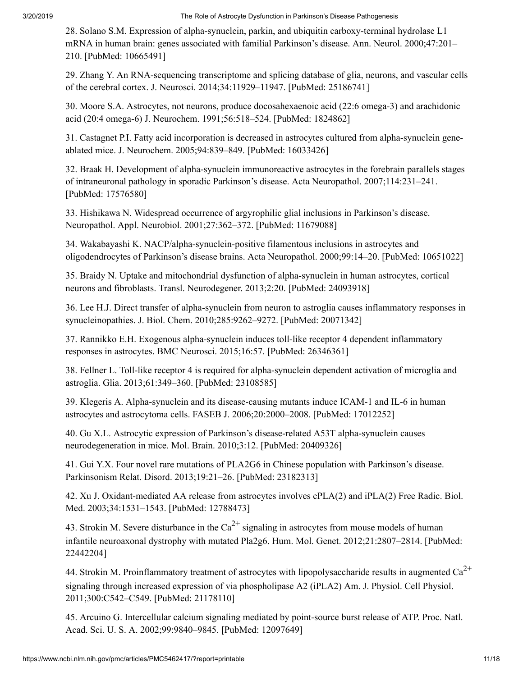<span id="page-10-0"></span>28. Solano S.M. Expression of alpha-synuclein, parkin, and ubiquitin carboxy-terminal hydrolase L1 mRNA in human brain: genes associated with familial Parkinson's disease. Ann. Neurol. 2000;47:201– 210. [PubMed: 10665491]

<span id="page-10-1"></span>29. Zhang Y. An RNA-sequencing transcriptome and splicing database of glia, neurons, and vascular cells of the cerebral cortex. J. Neurosci. 2014;34:11929–11947. [PubMed: 25186741]

<span id="page-10-2"></span>30. Moore S.A. Astrocytes, not neurons, produce docosahexaenoic acid (22:6 omega-3) and arachidonic acid (20:4 omega-6) J. Neurochem. 1991;56:518–524. [PubMed: 1824862]

<span id="page-10-3"></span>31. Castagnet P.I. Fatty acid incorporation is decreased in astrocytes cultured from alpha-synuclein geneablated mice. J. Neurochem. 2005;94:839–849. [PubMed: 16033426]

<span id="page-10-4"></span>32. Braak H. Development of alpha-synuclein immunoreactive astrocytes in the forebrain parallels stages of intraneuronal pathology in sporadic Parkinson's disease. Acta Neuropathol. 2007;114:231–241. [PubMed: 17576580]

<span id="page-10-5"></span>33. Hishikawa N. Widespread occurrence of argyrophilic glial inclusions in Parkinson's disease. Neuropathol. Appl. Neurobiol. 2001;27:362–372. [PubMed: 11679088]

<span id="page-10-6"></span>34. Wakabayashi K. NACP/alpha-synuclein-positive filamentous inclusions in astrocytes and oligodendrocytes of Parkinson's disease brains. Acta Neuropathol. 2000;99:14–20. [PubMed: 10651022]

<span id="page-10-7"></span>35. Braidy N. Uptake and mitochondrial dysfunction of alpha-synuclein in human astrocytes, cortical neurons and fibroblasts. Transl. Neurodegener. 2013;2:20. [PubMed: 24093918]

<span id="page-10-8"></span>36. Lee H.J. Direct transfer of alpha-synuclein from neuron to astroglia causes inflammatory responses in synucleinopathies. J. Biol. Chem. 2010;285:9262–9272. [PubMed: 20071342]

<span id="page-10-9"></span>37. Rannikko E.H. Exogenous alpha-synuclein induces toll-like receptor 4 dependent inflammatory responses in astrocytes. BMC Neurosci. 2015;16:57. [PubMed: 26346361]

<span id="page-10-10"></span>38. Fellner L. Toll-like receptor 4 is required for alpha-synuclein dependent activation of microglia and astroglia. Glia. 2013;61:349–360. [PubMed: 23108585]

<span id="page-10-11"></span>39. Klegeris A. Alpha-synuclein and its disease-causing mutants induce ICAM-1 and IL-6 in human astrocytes and astrocytoma cells. FASEB J. 2006;20:2000–2008. [PubMed: 17012252]

<span id="page-10-12"></span>40. Gu X.L. Astrocytic expression of Parkinson's disease-related A53T alpha-synuclein causes neurodegeneration in mice. Mol. Brain. 2010;3:12. [PubMed: 20409326]

<span id="page-10-13"></span>41. Gui Y.X. Four novel rare mutations of PLA2G6 in Chinese population with Parkinson's disease. Parkinsonism Relat. Disord. 2013;19:21–26. [PubMed: 23182313]

<span id="page-10-14"></span>42. Xu J. Oxidant-mediated AA release from astrocytes involves cPLA(2) and iPLA(2) Free Radic. Biol. Med. 2003;34:1531–1543. [PubMed: 12788473]

<span id="page-10-15"></span>43. Strokin M. Severe disturbance in the  $Ca^{2+}$  signaling in astrocytes from mouse models of human infantile neuroaxonal dystrophy with mutated Pla2g6. Hum. Mol. Genet. 2012;21:2807–2814. [PubMed: 22442204]

<span id="page-10-16"></span>44. Strokin M. Proinflammatory treatment of astrocytes with lipopolysaccharide results in augmented  $Ca^{2+}$ signaling through increased expression of via phospholipase A2 (iPLA2) Am. J. Physiol. Cell Physiol. 2011;300:C542–C549. [PubMed: 21178110]

<span id="page-10-17"></span>45. Arcuino G. Intercellular calcium signaling mediated by point-source burst release of ATP. Proc. Natl. Acad. Sci. U. S. A. 2002;99:9840–9845. [PubMed: 12097649]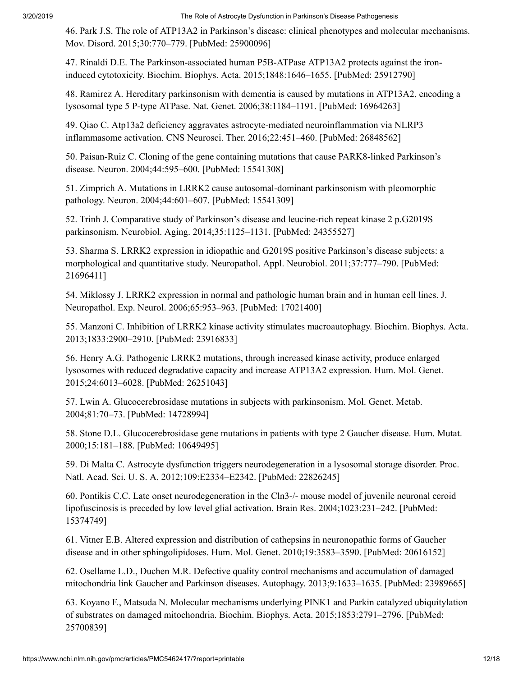<span id="page-11-0"></span>46. Park J.S. The role of ATP13A2 in Parkinson's disease: clinical phenotypes and molecular mechanisms. Mov. Disord. 2015;30:770–779. [PubMed: 25900096]

<span id="page-11-1"></span>47. Rinaldi D.E. The Parkinson-associated human P5B-ATPase ATP13A2 protects against the ironinduced cytotoxicity. Biochim. Biophys. Acta. 2015;1848:1646–1655. [PubMed: 25912790]

<span id="page-11-2"></span>48. Ramirez A. Hereditary parkinsonism with dementia is caused by mutations in ATP13A2, encoding a lysosomal type 5 P-type ATPase. Nat. Genet. 2006;38:1184–1191. [PubMed: 16964263]

<span id="page-11-3"></span>49. Qiao C. Atp13a2 deficiency aggravates astrocyte-mediated neuroinflammation via NLRP3 inflammasome activation. CNS Neurosci. Ther. 2016;22:451–460. [PubMed: 26848562]

<span id="page-11-4"></span>50. Paisan-Ruiz C. Cloning of the gene containing mutations that cause PARK8-linked Parkinson's disease. Neuron. 2004;44:595–600. [PubMed: 15541308]

<span id="page-11-5"></span>51. Zimprich A. Mutations in LRRK2 cause autosomal-dominant parkinsonism with pleomorphic pathology. Neuron. 2004;44:601–607. [PubMed: 15541309]

<span id="page-11-6"></span>52. Trinh J. Comparative study of Parkinson's disease and leucine-rich repeat kinase 2 p.G2019S parkinsonism. Neurobiol. Aging. 2014;35:1125–1131. [PubMed: 24355527]

<span id="page-11-7"></span>53. Sharma S. LRRK2 expression in idiopathic and G2019S positive Parkinson's disease subjects: a morphological and quantitative study. Neuropathol. Appl. Neurobiol. 2011;37:777–790. [PubMed: 21696411]

<span id="page-11-8"></span>54. Miklossy J. LRRK2 expression in normal and pathologic human brain and in human cell lines. J. Neuropathol. Exp. Neurol. 2006;65:953–963. [PubMed: 17021400]

<span id="page-11-9"></span>55. Manzoni C. Inhibition of LRRK2 kinase activity stimulates macroautophagy. Biochim. Biophys. Acta. 2013;1833:2900–2910. [PubMed: 23916833]

<span id="page-11-10"></span>56. Henry A.G. Pathogenic LRRK2 mutations, through increased kinase activity, produce enlarged lysosomes with reduced degradative capacity and increase ATP13A2 expression. Hum. Mol. Genet. 2015;24:6013–6028. [PubMed: 26251043]

<span id="page-11-11"></span>57. Lwin A. Glucocerebrosidase mutations in subjects with parkinsonism. Mol. Genet. Metab. 2004;81:70–73. [PubMed: 14728994]

<span id="page-11-12"></span>58. Stone D.L. Glucocerebrosidase gene mutations in patients with type 2 Gaucher disease. Hum. Mutat. 2000;15:181–188. [PubMed: 10649495]

<span id="page-11-13"></span>59. Di Malta C. Astrocyte dysfunction triggers neurodegeneration in a lysosomal storage disorder. Proc. Natl. Acad. Sci. U. S. A. 2012;109:E2334–E2342. [PubMed: 22826245]

<span id="page-11-14"></span>60. Pontikis C.C. Late onset neurodegeneration in the Cln3-/- mouse model of juvenile neuronal ceroid lipofuscinosis is preceded by low level glial activation. Brain Res. 2004;1023:231–242. [PubMed: 15374749]

<span id="page-11-15"></span>61. Vitner E.B. Altered expression and distribution of cathepsins in neuronopathic forms of Gaucher disease and in other sphingolipidoses. Hum. Mol. Genet. 2010;19:3583–3590. [PubMed: 20616152]

<span id="page-11-16"></span>62. Osellame L.D., Duchen M.R. Defective quality control mechanisms and accumulation of damaged mitochondria link Gaucher and Parkinson diseases. Autophagy. 2013;9:1633–1635. [PubMed: 23989665]

<span id="page-11-17"></span>63. Koyano F., Matsuda N. Molecular mechanisms underlying PINK1 and Parkin catalyzed ubiquitylation of substrates on damaged mitochondria. Biochim. Biophys. Acta. 2015;1853:2791–2796. [PubMed: 25700839]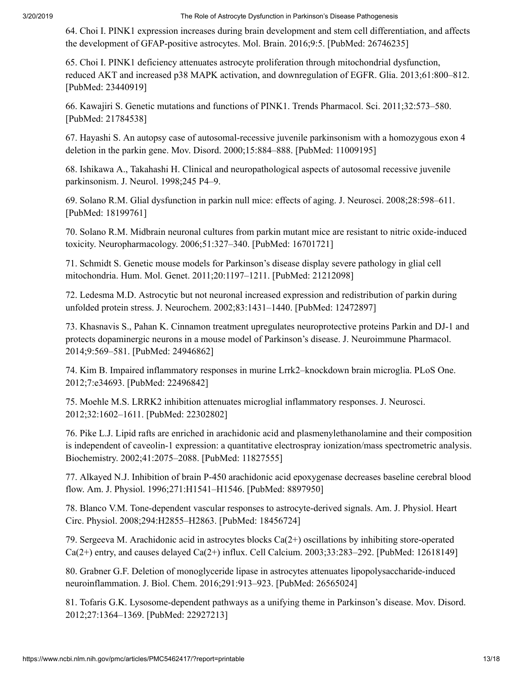<span id="page-12-0"></span>64. Choi I. PINK1 expression increases during brain development and stem cell differentiation, and affects the development of GFAP-positive astrocytes. Mol. Brain. 2016;9:5. [PubMed: 26746235]

<span id="page-12-1"></span>65. Choi I. PINK1 deficiency attenuates astrocyte proliferation through mitochondrial dysfunction, reduced AKT and increased p38 MAPK activation, and downregulation of EGFR. Glia. 2013;61:800–812. [PubMed: 23440919]

<span id="page-12-2"></span>66. Kawajiri S. Genetic mutations and functions of PINK1. Trends Pharmacol. Sci. 2011;32:573–580. [PubMed: 21784538]

<span id="page-12-3"></span>67. Hayashi S. An autopsy case of autosomal-recessive juvenile parkinsonism with a homozygous exon 4 deletion in the parkin gene. Mov. Disord. 2000;15:884–888. [PubMed: 11009195]

<span id="page-12-4"></span>68. Ishikawa A., Takahashi H. Clinical and neuropathological aspects of autosomal recessive juvenile parkinsonism. J. Neurol. 1998;245 P4–9.

<span id="page-12-5"></span>69. Solano R.M. Glial dysfunction in parkin null mice: effects of aging. J. Neurosci. 2008;28:598–611. [PubMed: 18199761]

<span id="page-12-6"></span>70. Solano R.M. Midbrain neuronal cultures from parkin mutant mice are resistant to nitric oxide-induced toxicity. Neuropharmacology. 2006;51:327–340. [PubMed: 16701721]

<span id="page-12-7"></span>71. Schmidt S. Genetic mouse models for Parkinson's disease display severe pathology in glial cell mitochondria. Hum. Mol. Genet. 2011;20:1197–1211. [PubMed: 21212098]

<span id="page-12-8"></span>72. Ledesma M.D. Astrocytic but not neuronal increased expression and redistribution of parkin during unfolded protein stress. J. Neurochem. 2002;83:1431–1440. [PubMed: 12472897]

<span id="page-12-9"></span>73. Khasnavis S., Pahan K. Cinnamon treatment upregulates neuroprotective proteins Parkin and DJ-1 and protects dopaminergic neurons in a mouse model of Parkinson's disease. J. Neuroimmune Pharmacol. 2014;9:569–581. [PubMed: 24946862]

<span id="page-12-10"></span>74. Kim B. Impaired inflammatory responses in murine Lrrk2–knockdown brain microglia. PLoS One. 2012;7:e34693. [PubMed: 22496842]

<span id="page-12-11"></span>75. Moehle M.S. LRRK2 inhibition attenuates microglial inflammatory responses. J. Neurosci. 2012;32:1602–1611. [PubMed: 22302802]

<span id="page-12-12"></span>76. Pike L.J. Lipid rafts are enriched in arachidonic acid and plasmenylethanolamine and their composition is independent of caveolin-1 expression: a quantitative electrospray ionization/mass spectrometric analysis. Biochemistry. 2002;41:2075–2088. [PubMed: 11827555]

<span id="page-12-13"></span>77. Alkayed N.J. Inhibition of brain P-450 arachidonic acid epoxygenase decreases baseline cerebral blood flow. Am. J. Physiol. 1996;271:H1541–H1546. [PubMed: 8897950]

<span id="page-12-14"></span>78. Blanco V.M. Tone-dependent vascular responses to astrocyte-derived signals. Am. J. Physiol. Heart Circ. Physiol. 2008;294:H2855–H2863. [PubMed: 18456724]

<span id="page-12-15"></span>79. Sergeeva M. Arachidonic acid in astrocytes blocks Ca(2+) oscillations by inhibiting store-operated  $Ca(2+)$  entry, and causes delayed  $Ca(2+)$  influx. Cell Calcium. 2003;33:283–292. [PubMed: 12618149]

<span id="page-12-16"></span>80. Grabner G.F. Deletion of monoglyceride lipase in astrocytes attenuates lipopolysaccharide-induced neuroinflammation. J. Biol. Chem. 2016;291:913–923. [PubMed: 26565024]

<span id="page-12-17"></span>81. Tofaris G.K. Lysosome-dependent pathways as a unifying theme in Parkinson's disease. Mov. Disord. 2012;27:1364–1369. [PubMed: 22927213]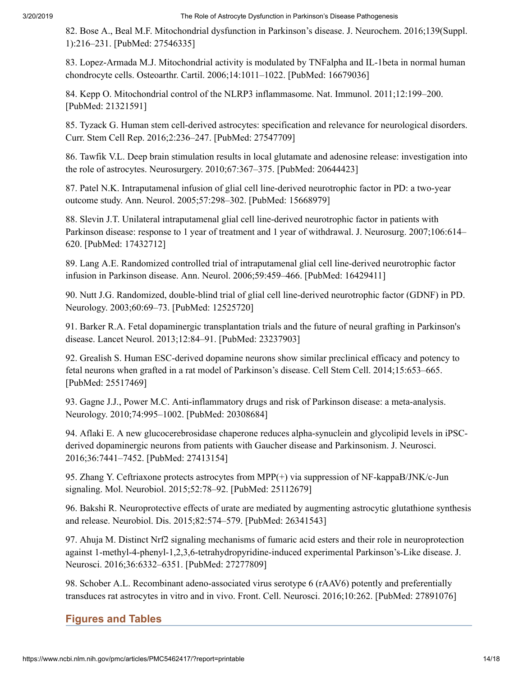<span id="page-13-0"></span>82. Bose A., Beal M.F. Mitochondrial dysfunction in Parkinson's disease. J. Neurochem. 2016;139(Suppl. 1):216–231. [PubMed: 27546335]

<span id="page-13-1"></span>83. Lopez-Armada M.J. Mitochondrial activity is modulated by TNFalpha and IL-1beta in normal human chondrocyte cells. Osteoarthr. Cartil. 2006;14:1011–1022. [PubMed: 16679036]

<span id="page-13-2"></span>84. Kepp O. Mitochondrial control of the NLRP3 inflammasome. Nat. Immunol. 2011;12:199–200. [PubMed: 21321591]

<span id="page-13-3"></span>85. Tyzack G. Human stem cell-derived astrocytes: specification and relevance for neurological disorders. Curr. Stem Cell Rep. 2016;2:236–247. [PubMed: 27547709]

<span id="page-13-4"></span>86. Tawfik V.L. Deep brain stimulation results in local glutamate and adenosine release: investigation into the role of astrocytes. Neurosurgery. 2010;67:367–375. [PubMed: 20644423]

<span id="page-13-5"></span>87. Patel N.K. Intraputamenal infusion of glial cell line-derived neurotrophic factor in PD: a two-year outcome study. Ann. Neurol. 2005;57:298–302. [PubMed: 15668979]

<span id="page-13-6"></span>88. Slevin J.T. Unilateral intraputamenal glial cell line-derived neurotrophic factor in patients with Parkinson disease: response to 1 year of treatment and 1 year of withdrawal. J. Neurosurg. 2007;106:614– 620. [PubMed: 17432712]

<span id="page-13-7"></span>89. Lang A.E. Randomized controlled trial of intraputamenal glial cell line-derived neurotrophic factor infusion in Parkinson disease. Ann. Neurol. 2006;59:459–466. [PubMed: 16429411]

<span id="page-13-8"></span>90. Nutt J.G. Randomized, double-blind trial of glial cell line-derived neurotrophic factor (GDNF) in PD. Neurology. 2003;60:69–73. [PubMed: 12525720]

<span id="page-13-9"></span>91. Barker R.A. Fetal dopaminergic transplantation trials and the future of neural grafting in Parkinson's disease. Lancet Neurol. 2013;12:84–91. [PubMed: 23237903]

<span id="page-13-10"></span>92. Grealish S. Human ESC-derived dopamine neurons show similar preclinical efficacy and potency to fetal neurons when grafted in a rat model of Parkinson's disease. Cell Stem Cell. 2014;15:653–665. [PubMed: 25517469]

<span id="page-13-11"></span>93. Gagne J.J., Power M.C. Anti-inflammatory drugs and risk of Parkinson disease: a meta-analysis. Neurology. 2010;74:995–1002. [PubMed: 20308684]

<span id="page-13-12"></span>94. Aflaki E. A new glucocerebrosidase chaperone reduces alpha-synuclein and glycolipid levels in iPSCderived dopaminergic neurons from patients with Gaucher disease and Parkinsonism. J. Neurosci. 2016;36:7441–7452. [PubMed: 27413154]

<span id="page-13-13"></span>95. Zhang Y. Ceftriaxone protects astrocytes from MPP(+) via suppression of NF-kappaB/JNK/c-Jun signaling. Mol. Neurobiol. 2015;52:78–92. [PubMed: 25112679]

<span id="page-13-14"></span>96. Bakshi R. Neuroprotective effects of urate are mediated by augmenting astrocytic glutathione synthesis and release. Neurobiol. Dis. 2015;82:574–579. [PubMed: 26341543]

<span id="page-13-15"></span>97. Ahuja M. Distinct Nrf2 signaling mechanisms of fumaric acid esters and their role in neuroprotection against 1-methyl-4-phenyl-1,2,3,6-tetrahydropyridine-induced experimental Parkinson's-Like disease. J. Neurosci. 2016;36:6332–6351. [PubMed: 27277809]

<span id="page-13-16"></span>98. Schober A.L. Recombinant adeno-associated virus serotype 6 (rAAV6) potently and preferentially transduces rat astrocytes in vitro and in vivo. Front. Cell. Neurosci. 2016;10:262. [PubMed: 27891076]

# **Figures and Tables**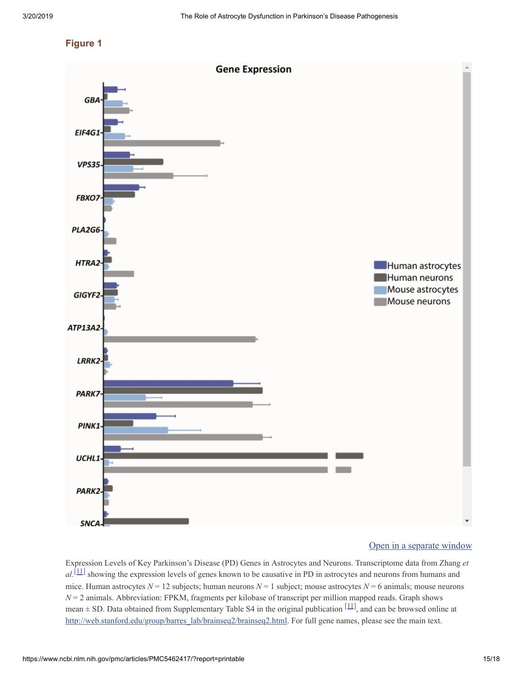#### **Figure 1**



#### Open in a [separate](https://www.ncbi.nlm.nih.gov/pmc/articles/PMC5462417/figure/fig0005/?report=objectonly) window

Expression Levels of Key Parkinson's Disease (PD) Genes in Astrocytes and Neurons. Transcriptome data from Zhang *et*  $al$ . [\[11\]](#page-9-1) showing the expression levels of genes known to be causative in PD in astrocytes and neurons from humans and mice. Human astrocytes *N* = 12 subjects; human neurons *N* = 1 subject; mouse astrocytes *N* = 6 animals; mouse neurons *N* = 2 animals. Abbreviation: FPKM, fragments per kilobase of transcript per million mapped reads. Graph shows mean  $\pm$  SD. Data obtained from Supplementary Table S4 in the original publication  $[11]$ , and can be browsed online at [http://web.stanford.edu/group/barres\\_lab/brainseq2/brainseq2.html](http://web.stanford.edu/group/barres_lab/brainseq2/brainseq2.html). For full gene names, please see the main text.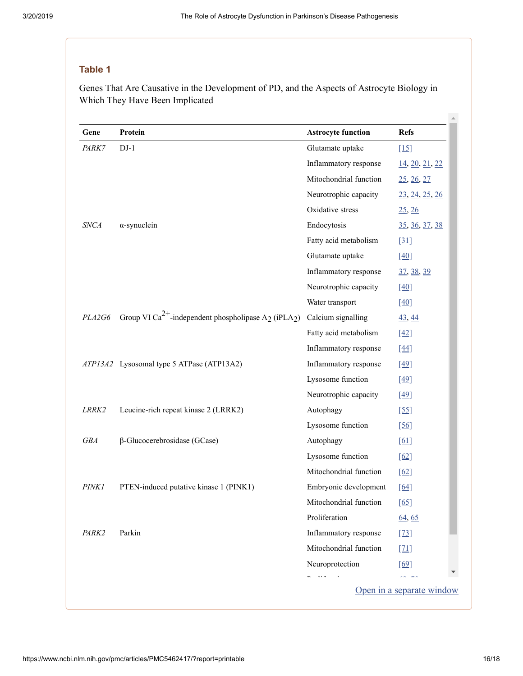# **Table 1**

Genes That Are Causative in the Development of PD, and the Aspects of Astrocyte Biology in Which They Have Been Implicated

| Gene              | Protein                                                                                  | <b>Astrocyte function</b> | <b>Refs</b>           |
|-------------------|------------------------------------------------------------------------------------------|---------------------------|-----------------------|
| <i>PARK7</i>      | $DJ-1$                                                                                   | Glutamate uptake          | $[15]$                |
|                   |                                                                                          | Inflammatory response     | 14, 20, 21, 22        |
|                   |                                                                                          | Mitochondrial function    | 25, 26, 27            |
|                   |                                                                                          | Neurotrophic capacity     | 23, 24, 25, 26        |
|                   |                                                                                          | Oxidative stress          | 25, 26                |
| <i>SNCA</i>       | $\alpha$ -synuclein                                                                      | Endocytosis               | <u>35, 36, 37, 38</u> |
|                   |                                                                                          | Fatty acid metabolism     | $[31]$                |
|                   |                                                                                          | Glutamate uptake          | $[40]$                |
|                   |                                                                                          | Inflammatory response     | <u>37, 38, 39</u>     |
|                   |                                                                                          | Neurotrophic capacity     | $[40]$                |
|                   |                                                                                          | Water transport           | $[40]$                |
| PLA2G6            | Group VI Ca <sup>2+</sup> -independent phospholipase A <sub>2</sub> (iPLA <sub>2</sub> ) | Calcium signalling        | $\frac{43}{44}$       |
|                   |                                                                                          | Fatty acid metabolism     | $[42]$                |
|                   |                                                                                          | Inflammatory response     | $[44]$                |
|                   | ATP13A2 Lysosomal type 5 ATPase (ATP13A2)                                                | Inflammatory response     | $[49]$                |
|                   |                                                                                          | Lysosome function         | $[49]$                |
|                   |                                                                                          | Neurotrophic capacity     | $[49]$                |
| LRRK2             | Leucine-rich repeat kinase 2 (LRRK2)                                                     | Autophagy                 | $[55]$                |
|                   |                                                                                          | Lysosome function         | $[56]$                |
| <b>GBA</b>        | $\beta$ -Glucocerebrosidase (GCase)                                                      | Autophagy                 | [61]                  |
|                   |                                                                                          | Lysosome function         | $[62]$                |
|                   |                                                                                          | Mitochondrial function    | [62]                  |
| <b>PINK1</b>      | PTEN-induced putative kinase 1 (PINK1)                                                   | Embryonic development     | [64]                  |
|                   |                                                                                          | Mitochondrial function    | $[65]$                |
|                   |                                                                                          | Proliferation             | 64, 65                |
| PARK <sub>2</sub> | Parkin                                                                                   | Inflammatory response     | $[23]$                |
|                   |                                                                                          | Mitochondrial function    | $[21]$                |
|                   |                                                                                          | Neuroprotection           | [69]                  |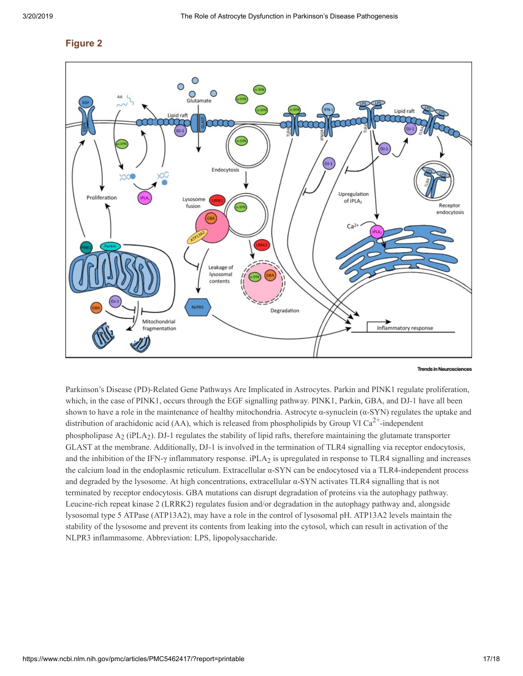#### **Figure 2**



**Trends in Neurosciences** 

Parkinson's Disease (PD)-Related Gene Pathways Are Implicated in Astrocytes. Parkin and PINK1 regulate proliferation, which, in the case of PINK1, occurs through the EGF signalling pathway. PINK1, Parkin, GBA, and DJ-1 have all been shown to have a role in the maintenance of healthy mitochondria. Astrocyte  $\alpha$ -synuclein  $(\alpha$ -SYN) regulates the uptake and distribution of arachidonic acid (AA), which is released from phospholipids by Group VI Ca<sup>2+</sup>-independent phospholipase  $A_2$  (iPLA<sub>2</sub>). DJ-1 regulates the stability of lipid rafts, therefore maintaining the glutamate transporter GLAST at the membrane. Additionally, DJ-1 is involved in the termination of TLR4 signalling via receptor endocytosis, and the inhibition of the IFN- $\gamma$  inflammatory response. iPLA<sub>2</sub> is upregulated in response to TLR4 signalling and increases the calcium load in the endoplasmic reticulum. Extracellular α-SYN can be endocytosed via a TLR4-independent process and degraded by the lysosome. At high concentrations, extracellular α-SYN activates TLR4 signalling that is not terminated by receptor endocytosis. GBA mutations can disrupt degradation of proteins via the autophagy pathway. Leucine-rich repeat kinase 2 (LRRK2) regulates fusion and/or degradation in the autophagy pathway and, alongside lysosomal type 5 ATPase (ATP13A2), may have a role in the control of lysosomal pH. ATP13A2 levels maintain the stability of the lysosome and prevent its contents from leaking into the cytosol, which can result in activation of the NLPR3 inflammasome. Abbreviation: LPS, lipopolysaccharide.